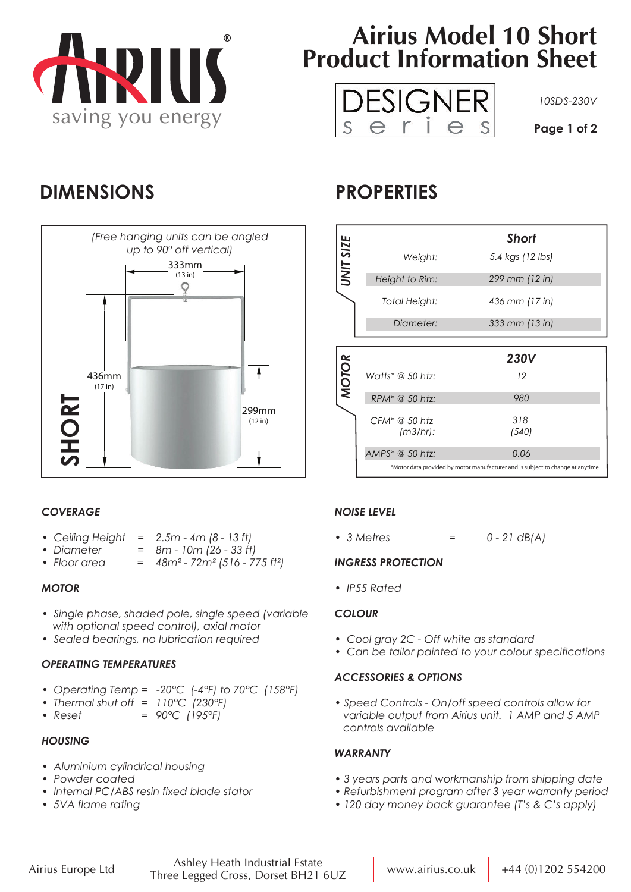

# **Airius Model 10 Short Product Information Sheet**



### **DIMENSIONS PROPERTIES**



### *COVERAGE*

- *Ceiling Height = 2.5m 4m (8 13 ft)*
- *Diameter = 8m 10m (26 33 ft)*
- *Floor area = 48m² 72m² (516 775 ft²)*

#### *MOTOR*

- *Single phase, shaded pole, single speed (variable with optional speed control), axial motor*
- *Sealed bearings, no lubrication required*

#### *OPERATING TEMPERATURES*

- *Operating Temp = -20°C (-4°F) to 70°C (158°F)*
- *Thermal shut off = 110°C (230°F)*
- *Reset = 90°C (195°F)*

#### *HOUSING*

- *Aluminium cylindrical housing*
- *Powder coated*
- *Internal PC/ABS resin fixed blade stator*
- *5VA flame rating*

|              |                              | <b>Short</b>     |  |
|--------------|------------------------------|------------------|--|
| UNIT SIZE    | Weight:                      | 5.4 kgs (12 lbs) |  |
|              | Height to Rim:               | 299 mm (12 in)   |  |
|              | Total Height:                | 436 mm (17 in)   |  |
|              | Diameter:                    | 333 mm (13 in)   |  |
|              |                              |                  |  |
|              |                              |                  |  |
|              |                              | <b>230V</b>      |  |
|              | Watts* @ 50 htz:             | 12               |  |
| <b>MOTOR</b> | RPM* @ 50 htz:               | 980              |  |
|              | $CFM^* @ 50$ htz<br>(m3/hr): | 318<br>(540)     |  |
|              | $AMPS^* @ 50 htz:$           | 0.06             |  |

### *NOISE LEVEL*

*• 3 Metres = 0 - 21 dB(A)*

#### *INGRESS PROTECTION*

*• IP55 Rated*

#### *COLOUR*

- *Cool gray 2C Off white as standard*
- *Can be tailor painted to your colour specifications*

#### *ACCESSORIES & OPTIONS*

*• Speed Controls - On/off speed controls allow for variable output from Airius unit. 1 AMP and 5 AMP controls available*

#### *WARRANTY*

- *3 years parts and workmanship from shipping date*
- *Refurbishment program after 3 year warranty period*
- *120 day money back guarantee (T's & C's apply)*